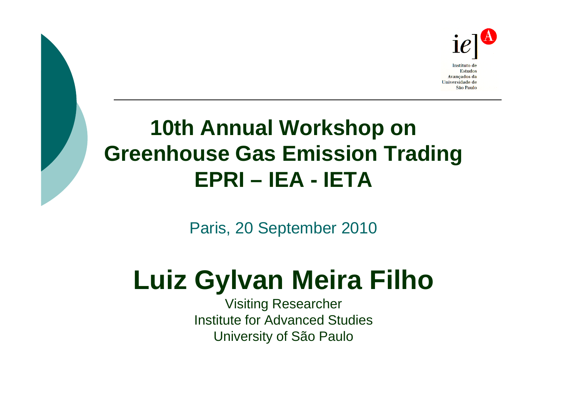

## **10th Annual Workshop on Greenhouse Gas Emission Trading EPRI – IEA - IETA**

Paris, 20 September 2010

# **Luiz Gylvan Meira Filho**

Visiting Researcher Institute for Advanced StudiesUniversity of São Paulo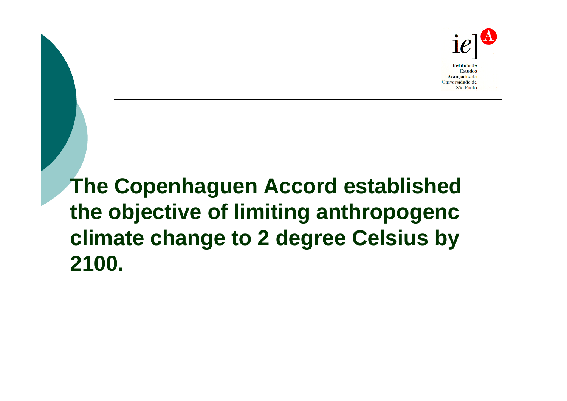

**The Copenhaguen Accord established the objective of limiting anthropogenc climate change to 2 degree Celsius by 2100.**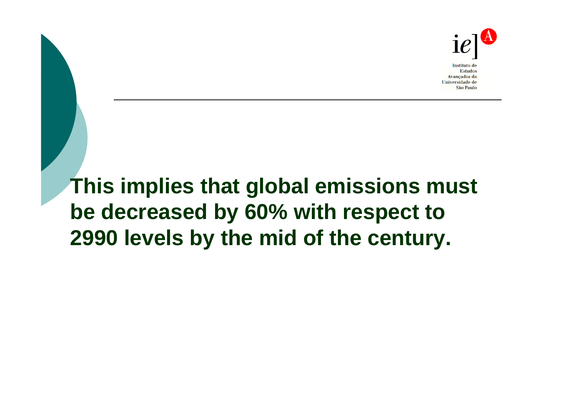

## **This implies that global emissions must be decreased by 60% with respect to 2990 levels by the mid of the century.**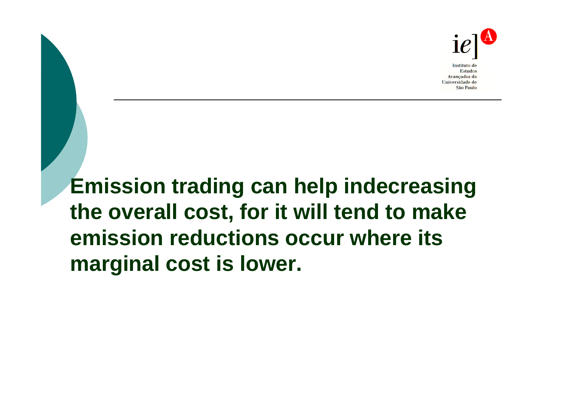

**Emission trading can help indecreasing the overall cost, for it will tend to make emission reductions occur where its marginal cost is lower.**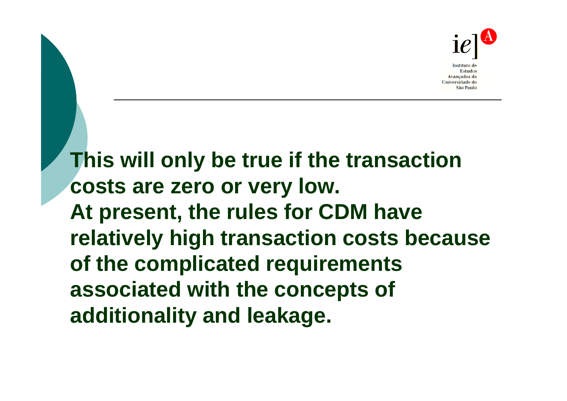

**This will only be true if the transaction costs are zero or very low. At present, the rules for CDM have relatively high transaction costs because of the complicated requirements associated with the concepts of additionality and leakage.**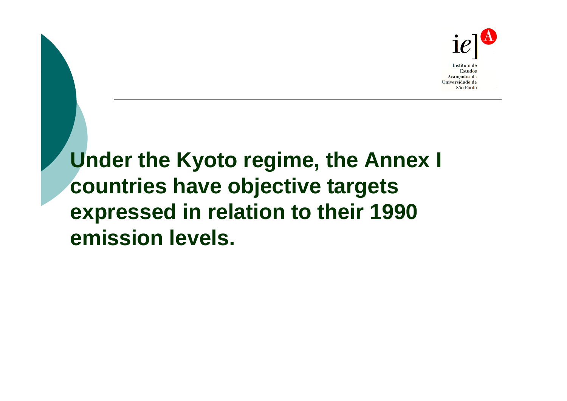

## **Under the Kyoto regime, the Annex I countries have objective targets expressed in relation to their 1990 emission levels.**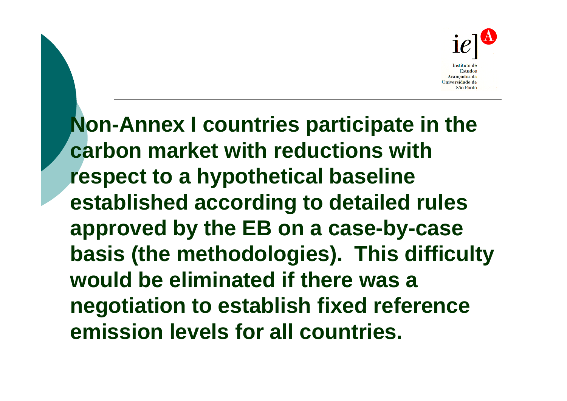

**Non-Annex I countries participate in the carbon market with reductions with respect to a hypothetical baseline established according to detailed rules approved by the EB on a case-by-case basis (the methodologies). This difficulty would be eliminated if there was a negotiation to establish fixed reference emission levels for all countries.**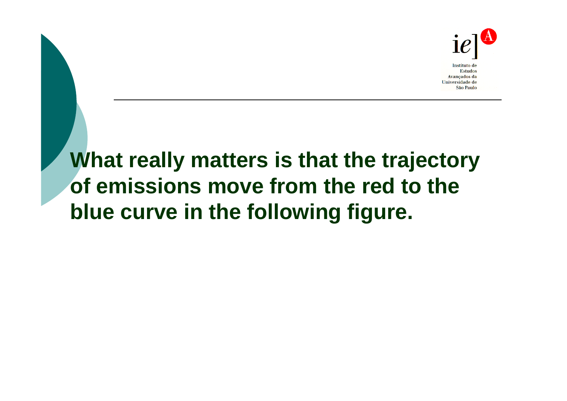

#### **What really matters is that the trajectory of emissions move from the red to the blue curve in the following figure.**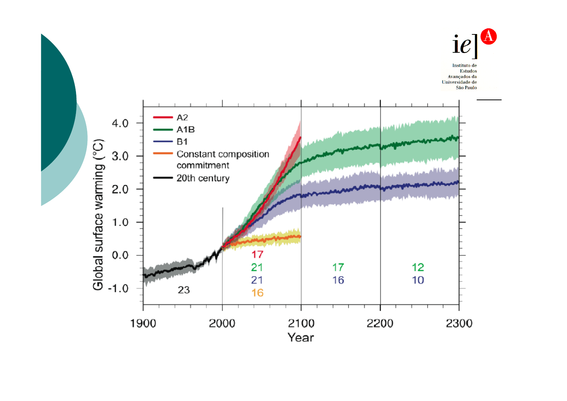

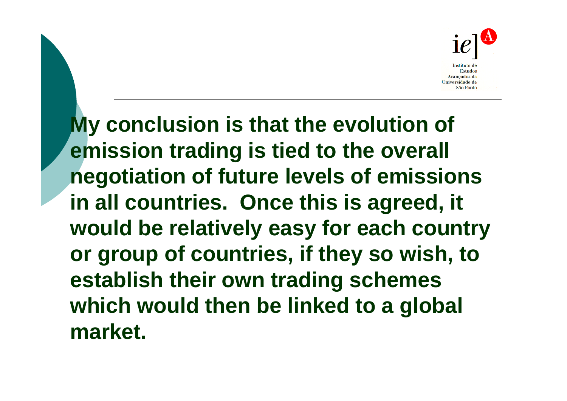

**My conclusion is that the evolution of emission trading is tied to the overall negotiation of future levels of emissions in all countries. Once this is agreed, it would be relatively easy for each country or group of countries, if they so wish, to establish their own trading schemes which would then be linked to a global market.**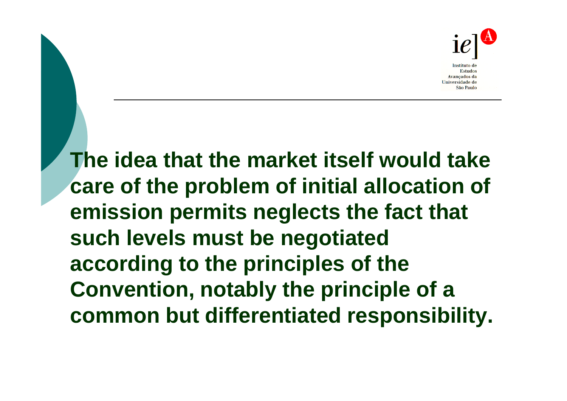

**The idea that the market itself would take care of the problem of initial allocation of emission permits neglects the fact that such levels must be negotiated according to the principles of the Convention, notably the principle of a common but differentiated responsibility.**